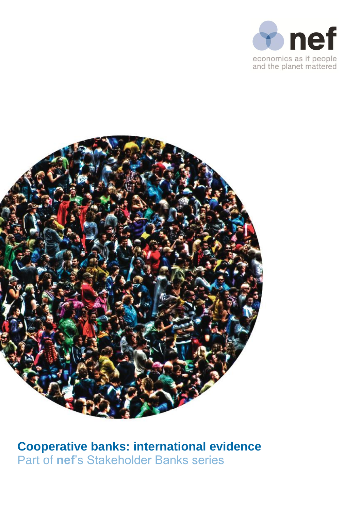



**Cooperative banks: international evidence** Part of **nef**'s Stakeholder Banks series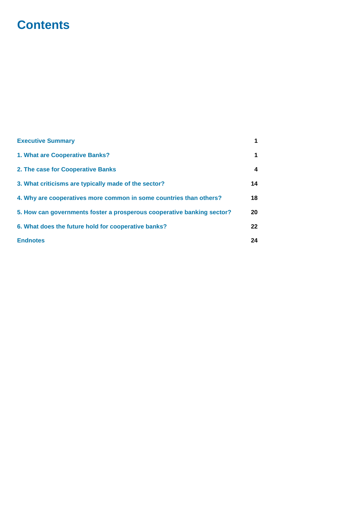# **Contents**

| <b>Executive Summary</b>                                               | 1  |
|------------------------------------------------------------------------|----|
| 1. What are Cooperative Banks?                                         | 1  |
| 2. The case for Cooperative Banks                                      | 4  |
| 3. What criticisms are typically made of the sector?                   | 14 |
| 4. Why are cooperatives more common in some countries than others?     | 18 |
| 5. How can governments foster a prosperous cooperative banking sector? | 20 |
| 6. What does the future hold for cooperative banks?                    | 22 |
| <b>Endnotes</b>                                                        | 24 |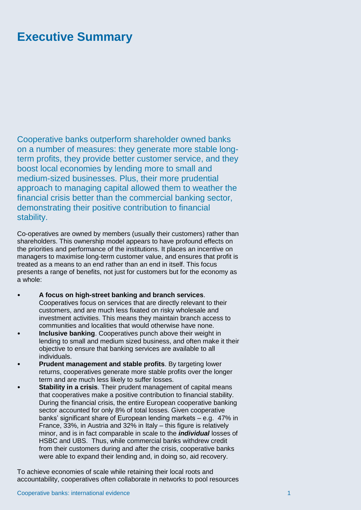# <span id="page-2-0"></span>**Executive Summary**

Cooperative banks outperform shareholder owned banks on a number of measures: they generate more stable longterm profits, they provide better customer service, and they boost local economies by lending more to small and medium-sized businesses. Plus, their more prudential approach to managing capital allowed them to weather the financial crisis better than the commercial banking sector, demonstrating their positive contribution to financial stability.

Co-operatives are owned by members (usually their customers) rather than shareholders. This ownership model appears to have profound effects on the priorities and performance of the institutions. It places an incentive on managers to maximise long-term customer value, and ensures that profit is treated as a means to an end rather than an end in itself. This focus presents a range of benefits, not just for customers but for the economy as a whole:

- **A focus on high-street banking and branch services**. Cooperatives focus on services that are directly relevant to their customers, and are much less fixated on risky wholesale and investment activities. This means they maintain branch access to communities and localities that would otherwise have none.
- **Inclusive banking**. Cooperatives punch above their weight in lending to small and medium sized business, and often make it their objective to ensure that banking services are available to all individuals.
- **Prudent management and stable profits**. By targeting lower returns, cooperatives generate more stable profits over the longer term and are much less likely to suffer losses.
- **Stability in a crisis**. Their prudent management of capital means that cooperatives make a positive contribution to financial stability. During the financial crisis, the entire European cooperative banking sector accounted for only 8% of total losses. Given cooperative banks' significant share of European lending markets – e.g. 47% in France, 33%, in Austria and 32% in Italy – this figure is relatively minor, and is in fact comparable in scale to the *individual* losses of HSBC and UBS. Thus, while commercial banks withdrew credit from their customers during and after the crisis, cooperative banks were able to expand their lending and, in doing so, aid recovery.

To achieve economies of scale while retaining their local roots and accountability, cooperatives often collaborate in networks to pool resources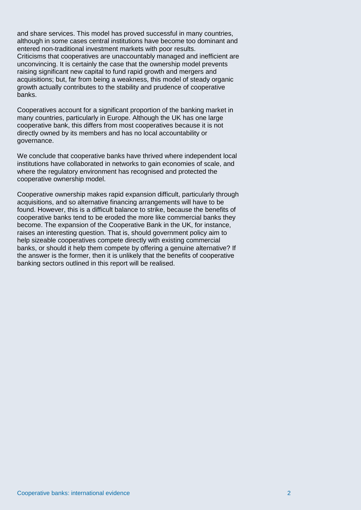and share services. This model has proved successful in many countries, although in some cases central institutions have become too dominant and entered non-traditional investment markets with poor results. Criticisms that cooperatives are unaccountably managed and inefficient are unconvincing. It is certainly the case that the ownership model prevents raising significant new capital to fund rapid growth and mergers and acquisitions; but, far from being a weakness, this model of steady organic growth actually contributes to the stability and prudence of cooperative banks.

Cooperatives account for a significant proportion of the banking market in many countries, particularly in Europe. Although the UK has one large cooperative bank, this differs from most cooperatives because it is not directly owned by its members and has no local accountability or governance.

We conclude that cooperative banks have thrived where independent local institutions have collaborated in networks to gain economies of scale, and where the regulatory environment has recognised and protected the cooperative ownership model.

Cooperative ownership makes rapid expansion difficult, particularly through acquisitions, and so alternative financing arrangements will have to be found. However, this is a difficult balance to strike, because the benefits of cooperative banks tend to be eroded the more like commercial banks they become. The expansion of the Cooperative Bank in the UK, for instance, raises an interesting question. That is, should government policy aim to help sizeable cooperatives compete directly with existing commercial banks, or should it help them compete by offering a genuine alternative? If the answer is the former, then it is unlikely that the benefits of cooperative banking sectors outlined in this report will be realised.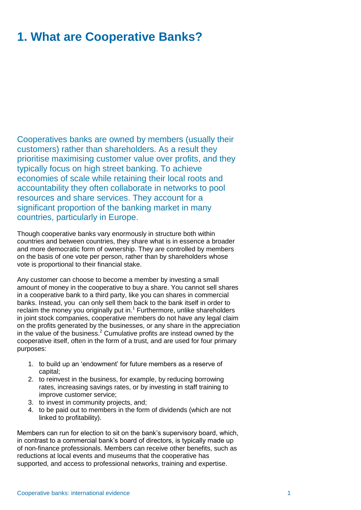# **1. What are Cooperative Banks?**

Cooperatives banks are owned by members (usually their customers) rather than shareholders. As a result they prioritise maximising customer value over profits, and they typically focus on high street banking. To achieve economies of scale while retaining their local roots and accountability they often collaborate in networks to pool resources and share services. They account for a significant proportion of the banking market in many countries, particularly in Europe.

Though cooperative banks vary enormously in structure both within countries and between countries, they share what is in essence a broader and more democratic form of ownership. They are controlled by members on the basis of one vote per person, rather than by shareholders whose vote is proportional to their financial stake.

Any customer can choose to become a member by investing a small amount of money in the cooperative to buy a share. You cannot sell shares in a cooperative bank to a third party, like you can shares in commercial banks. Instead, you can only sell them back to the bank itself in order to reclaim the money you originally put in.<sup>1</sup> Furthermore, unlike shareholders in joint stock companies, cooperative members do not have any legal claim on the profits generated by the businesses, or any share in the appreciation in the value of the business.<sup>2</sup> Cumulative profits are instead owned by the cooperative itself, often in the form of a trust, and are used for four primary purposes:

- 1. to build up an 'endowment' for future members as a reserve of capital;
- 2. to reinvest in the business, for example, by reducing borrowing rates, increasing savings rates, or by investing in staff training to improve customer service;
- 3. to invest in community projects, and;
- 4. to be paid out to members in the form of dividends (which are not linked to profitability).

Members can run for election to sit on the bank's supervisory board, which, in contrast to a commercial bank's board of directors, is typically made up of non-finance professionals. Members can receive other benefits, such as reductions at local events and museums that the cooperative has supported, and access to professional networks, training and expertise.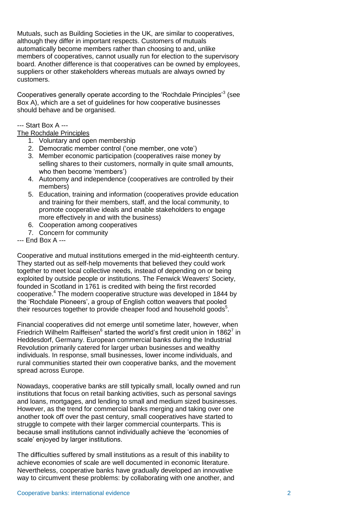Mutuals, such as Building Societies in the UK, are similar to cooperatives, although they differ in important respects. Customers of mutuals automatically become members rather than choosing to and, unlike members of cooperatives, cannot usually run for election to the supervisory board. Another difference is that cooperatives can be owned by employees, suppliers or other stakeholders whereas mutuals are always owned by customers.

Cooperatives generally operate according to the 'Rochdale Principles'<sup>3</sup> (see Box A), which are a set of guidelines for how cooperative businesses should behave and be organised.

### --- Start Box A ---

### The Rochdale Principles

- 1. Voluntary and open membership
- 2. Democratic member control ('one member, one vote')
- 3. Member economic participation (cooperatives raise money by selling shares to their customers, normally in quite small amounts, who then become 'members')
- 4. Autonomy and independence (cooperatives are controlled by their members)
- 5. Education, training and information (cooperatives provide education and training for their members, staff, and the local community, to promote cooperative ideals and enable stakeholders to engage more effectively in and with the business)
- 6. Cooperation among cooperatives
- 7. Concern for community

--- End Box A ---

Cooperative and mutual institutions emerged in the mid-eighteenth century. They started out as self-help movements that believed they could work together to meet local collective needs, instead of depending on or being exploited by outside people or institutions. The Fenwick Weavers' Society, founded in Scotland in 1761 is credited with being the first recorded cooperative.<sup>4</sup> The modern cooperative structure was developed in 1844 by the 'Rochdale Pioneers', a group of English cotton weavers that pooled their resources together to provide cheaper food and household goods $5$ .

Financial cooperatives did not emerge until sometime later, however, when Friedrich Wilhelm Raiffeisen $^6$  started the world's first credit union in 1862<sup>7</sup> in Heddesdorf, Germany. European commercial banks during the Industrial Revolution primarily catered for larger urban businesses and wealthy individuals. In response, small businesses, lower income individuals, and rural communities started their own cooperative banks, and the movement spread across Europe.

Nowadays, cooperative banks are still typically small, locally owned and run institutions that focus on retail banking activities, such as personal savings and loans, mortgages, and lending to small and medium sized businesses. However, as the trend for commercial banks merging and taking over one another took off over the past century, small cooperatives have started to struggle to compete with their larger commercial counterparts. This is because small institutions cannot individually achieve the 'economies of scale' enjoyed by larger institutions.

The difficulties suffered by small institutions as a result of this inability to achieve economies of scale are well documented in economic literature. Nevertheless, cooperative banks have gradually developed an innovative way to circumvent these problems: by collaborating with one another, and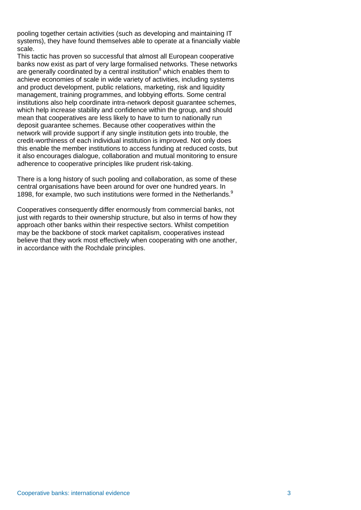pooling together certain activities (such as developing and maintaining IT systems), they have found themselves able to operate at a financially viable scale.

This tactic has proven so successful that almost all European cooperative banks now exist as part of very large formalised networks. These networks are generally coordinated by a central institution<sup>8</sup> which enables them to achieve economies of scale in wide variety of activities, including systems and product development, public relations, marketing, risk and liquidity management, training programmes, and lobbying efforts. Some central institutions also help coordinate intra-network deposit guarantee schemes, which help increase stability and confidence within the group, and should mean that cooperatives are less likely to have to turn to nationally run deposit guarantee schemes. Because other cooperatives within the network will provide support if any single institution gets into trouble, the credit-worthiness of each individual institution is improved. Not only does this enable the member institutions to access funding at reduced costs, but it also encourages dialogue, collaboration and mutual monitoring to ensure adherence to cooperative principles like prudent risk-taking.

There is a long history of such pooling and collaboration, as some of these central organisations have been around for over one hundred years. In 1898, for example, two such institutions were formed in the Netherlands.<sup>9</sup>

Cooperatives consequently differ enormously from commercial banks, not just with regards to their ownership structure, but also in terms of how they approach other banks within their respective sectors. Whilst competition may be the backbone of stock market capitalism, cooperatives instead believe that they work most effectively when cooperating with one another, in accordance with the Rochdale principles.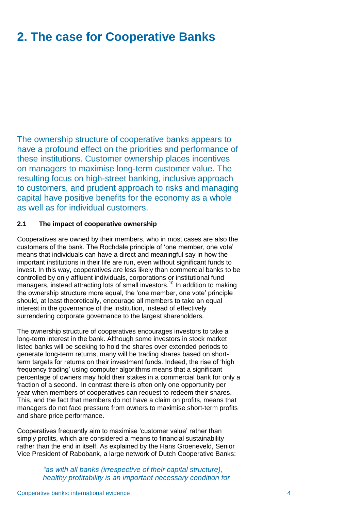# <span id="page-7-0"></span>**2. The case for Cooperative Banks**

The ownership structure of cooperative banks appears to have a profound effect on the priorities and performance of these institutions. Customer ownership places incentives on managers to maximise long-term customer value. The resulting focus on high-street banking, inclusive approach to customers, and prudent approach to risks and managing capital have positive benefits for the economy as a whole as well as for individual customers.

### **2.1 The impact of cooperative ownership**

Cooperatives are owned by their members, who in most cases are also the customers of the bank. The Rochdale principle of 'one member, one vote' means that individuals can have a direct and meaningful say in how the important institutions in their life are run, even without significant funds to invest. In this way, cooperatives are less likely than commercial banks to be controlled by only affluent individuals, corporations or institutional fund managers, instead attracting lots of small investors.<sup>10</sup> In addition to making the ownership structure more equal, the 'one member, one vote' principle should, at least theoretically, encourage all members to take an equal interest in the governance of the institution, instead of effectively surrendering corporate governance to the largest shareholders.

The ownership structure of cooperatives encourages investors to take a long-term interest in the bank. Although some investors in stock market listed banks will be seeking to hold the shares over extended periods to generate long-term returns, many will be trading shares based on shortterm targets for returns on their investment funds. Indeed, the rise of 'high frequency trading' using computer algorithms means that a significant percentage of owners may hold their stakes in a commercial bank for only a fraction of a second. In contrast there is often only one opportunity per year when members of cooperatives can request to redeem their shares. This, and the fact that members do not have a claim on profits, means that managers do not face pressure from owners to maximise short-term profits and share price performance.

Cooperatives frequently aim to maximise 'customer value' rather than simply profits, which are considered a means to financial sustainability rather than the end in itself. As explained by the Hans Groeneveld, Senior Vice President of Rabobank, a large network of Dutch Cooperative Banks:

> *"as with all banks (irrespective of their capital structure), healthy profitability is an important necessary condition for*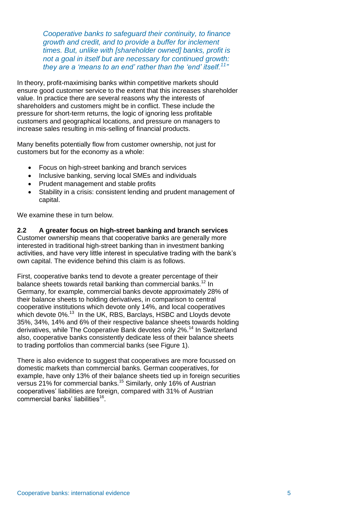*Cooperative banks to safeguard their continuity, to finance growth and credit, and to provide a buffer for inclement times. But, unlike with [shareholder owned] banks, profit is not a goal in itself but are necessary for continued growth:*  they are a 'means to an end' rather than the 'end' itself.<sup>11</sup>

In theory, profit-maximising banks within competitive markets should ensure good customer service to the extent that this increases shareholder value. In practice there are several reasons why the interests of shareholders and customers might be in conflict. These include the pressure for short-term returns, the logic of ignoring less profitable customers and geographical locations, and pressure on managers to increase sales resulting in mis-selling of financial products.

Many benefits potentially flow from customer ownership, not just for customers but for the economy as a whole:

- Focus on high-street banking and branch services
- Inclusive banking, serving local SMEs and individuals
- Prudent management and stable profits
- Stability in a crisis: consistent lending and prudent management of capital.

We examine these in turn below.

**2.2 A greater focus on high-street banking and branch services** Customer ownership means that cooperative banks are generally more interested in traditional high-street banking than in investment banking activities, and have very little interest in speculative trading with the bank's own capital. The evidence behind this claim is as follows.

First, cooperative banks tend to devote a greater percentage of their balance sheets towards retail banking than commercial banks.<sup>12</sup> In Germany, for example, commercial banks devote approximately 28% of their balance sheets to holding derivatives, in comparison to central cooperative institutions which devote only 14%, and local cooperatives which devote 0%.<sup>13</sup> In the UK, RBS, Barclays, HSBC and Lloyds devote 35%, 34%, 14% and 6% of their respective balance sheets towards holding derivatives, while The Cooperative Bank devotes only 2%.<sup>14</sup> In Switzerland also, cooperative banks consistently dedicate less of their balance sheets to trading portfolios than commercial banks (see Figure 1).

There is also evidence to suggest that cooperatives are more focussed on domestic markets than commercial banks. German cooperatives, for example, have only 13% of their balance sheets tied up in foreign securities versus 21% for commercial banks.<sup>15</sup> Similarly, only 16% of Austrian cooperatives' liabilities are foreign, compared with 31% of Austrian commercial banks' liabilities<sup>16</sup>.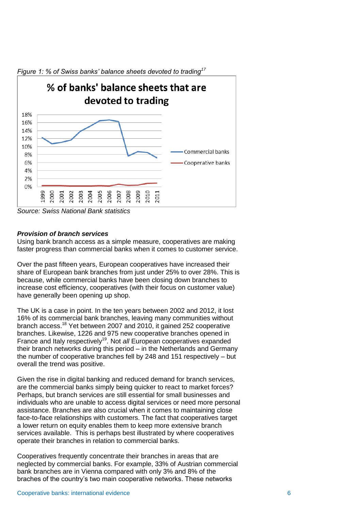

*Source: Swiss National Bank statistics*

### *Provision of branch services*

Using bank branch access as a simple measure, cooperatives are making faster progress than commercial banks when it comes to customer service.

Over the past fifteen years, European cooperatives have increased their share of European bank branches from just under 25% to over 28%. This is because, while commercial banks have been closing down branches to increase cost efficiency, cooperatives (with their focus on customer value) have generally been opening up shop.

The UK is a case in point. In the ten years between 2002 and 2012, it lost 16% of its commercial bank branches, leaving many communities without branch access.<sup>18</sup> Yet between 2007 and 2010, it gained 252 cooperative branches. Likewise, 1226 and 975 new cooperative branches opened in France and Italy respectively<sup>19</sup>. Not *all* European cooperatives expanded their branch networks during this period – in the Netherlands and Germany the number of cooperative branches fell by 248 and 151 respectively – but overall the trend was positive.

Given the rise in digital banking and reduced demand for branch services, are the commercial banks simply being quicker to react to market forces? Perhaps, but branch services are still essential for small businesses and individuals who are unable to access digital services or need more personal assistance. Branches are also crucial when it comes to maintaining close face-to-face relationships with customers. The fact that cooperatives target a lower return on equity enables them to keep more extensive branch services available. This is perhaps best illustrated by where cooperatives operate their branches in relation to commercial banks.

Cooperatives frequently concentrate their branches in areas that are neglected by commercial banks. For example, 33% of Austrian commercial bank branches are in Vienna compared with only 3% and 8% of the braches of the country's two main cooperative networks. These networks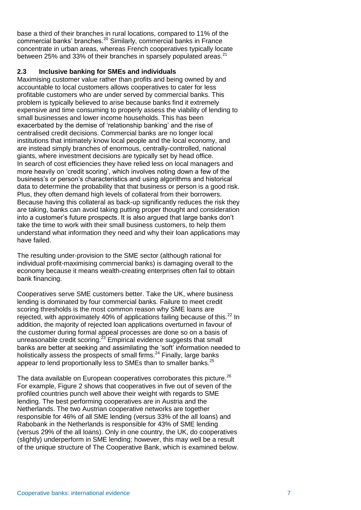base a third of their branches in rural locations, compared to 11% of the commercial banks' branches.<sup>20</sup> Similarly, commercial banks in France concentrate in urban areas, whereas French cooperatives typically locate between 25% and 33% of their branches in sparsely populated areas.<sup>21</sup>

### **2.3 Inclusive banking for SMEs and individuals**

Maximising customer value rather than profits and being owned by and accountable to local customers allows cooperatives to cater for less profitable customers who are under served by commercial banks. This problem is typically believed to arise because banks find it extremely expensive and time consuming to properly assess the viability of lending to small businesses and lower income households. This has been exacerbated by the demise of 'relationship banking' and the rise of centralised credit decisions. Commercial banks are no longer local institutions that intimately know local people and the local economy, and are instead simply branches of enormous, centrally-controlled, national giants, where investment decisions are typically set by head office. In search of cost efficiencies they have relied less on local managers and more heavily on 'credit scoring', which involves noting down a few of the business's or person's characteristics and using algorithms and historical data to determine the probability that that business or person is a good risk. Plus, they often demand high levels of collateral from their borrowers. Because having this collateral as back-up significantly reduces the risk they are taking, banks can avoid taking putting proper thought and consideration into a customer's future prospects. It is also argued that large banks don't take the time to work with their small business customers, to help them understand what information they need and why their loan applications may have failed.

The resulting under-provision to the SME sector (although rational for individual profit-maximising commercial banks) is damaging overall to the economy because it means wealth-creating enterprises often fail to obtain bank financing.

Cooperatives serve SME customers better. Take the UK, where business lending is dominated by four commercial banks. Failure to meet credit scoring thresholds is the most common reason why SME loans are rejected, with approximately 40% of applications failing because of this.<sup>22</sup> In addition, the majority of rejected loan applications overturned in favour of the customer during formal appeal processes are done so on a basis of unreasonable credit scoring.<sup>23</sup> Empirical evidence suggests that small banks are better at seeking and assimilating the 'soft' information needed to holistically assess the prospects of small firms. $^{24}$  Finally, large banks appear to lend proportionally less to SMEs than to smaller banks.<sup>25</sup>

The data available on European cooperatives corroborates this picture.<sup>26</sup> For example, Figure 2 shows that cooperatives in five out of seven of the profiled countries punch well above their weight with regards to SME lending. The best performing cooperatives are in Austria and the Netherlands. The two Austrian cooperative networks are together responsible for 46% of all SME lending (versus 33% of the all loans) and Rabobank in the Netherlands is responsible for 43% of SME lending (versus 29% of the all loans). Only in one country, the UK, do cooperatives (slightly) underperform in SME lending; however, this may well be a result of the unique structure of The Cooperative Bank, which is examined below.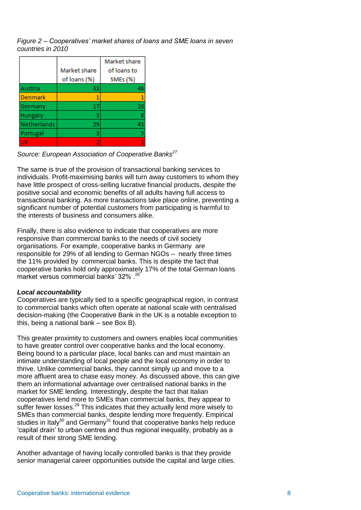*Figure 2 – Cooperatives' market shares of loans and SME loans in seven countries in 2010*

|             |              | Market share |
|-------------|--------------|--------------|
|             | Market share | of loans to  |
|             | of loans (%) | SMEs (%)     |
| Austria     | 33           | 46           |
| Denmark     |              | 1            |
| Germany     | 17           | 28           |
| Hungary     | з            | 8            |
| Netherlands | 29           | 43           |
| Portugal    | з            | 5            |
| ΠК          | 2            |              |

*Source: European Association of Cooperative Banks<sup>27</sup>*

The same is true of the provision of transactional banking services to individuals. Profit-maximising banks will turn away customers to whom they have little prospect of cross-selling lucrative financial products, despite the positive social and economic benefits of all adults having full access to transactional banking. As more transactions take place online, preventing a significant number of potential customers from participating is harmful to the interests of business and consumers alike.

Finally, there is also evidence to indicate that cooperatives are more responsive than commercial banks to the needs of civil society organisations. For example, cooperative banks in Germany are responsible for 29% of all lending to German NGOs – nearly three times the 11% provided by commercial banks. This is despite the fact that cooperative banks hold only approximately 17% of the total German loans market versus commercial banks' 32% .<sup>28</sup>

### *Local accountability*

Cooperatives are typically tied to a specific geographical region, in contrast to commercial banks which often operate at national scale with centralised decision-making (the Cooperative Bank in the UK is a notable exception to this, being a national bank – see Box B).

This greater proximity to customers and owners enables local communities to have greater control over cooperative banks and the local economy. Being bound to a particular place, local banks can and must maintain an intimate understanding of local people and the local economy in order to thrive. Unlike commercial banks, they cannot simply up and move to a more affluent area to chase easy money. As discussed above, this can give them an informational advantage over centralised national banks in the market for SME lending. Interestingly, despite the fact that Italian cooperatives lend more to SMEs than commercial banks, they appear to suffer fewer losses.<sup>29</sup> This indicates that they actually lend more wisely to SMEs than commercial banks, despite lending more frequently. Empirical studies in Italy<sup>30</sup> and Germany<sup>31</sup> found that cooperative banks help reduce 'capital drain' to urban centres and thus regional inequality, probably as a result of their strong SME lending.

Another advantage of having locally controlled banks is that they provide senior managerial career opportunities outside the capital and large cities.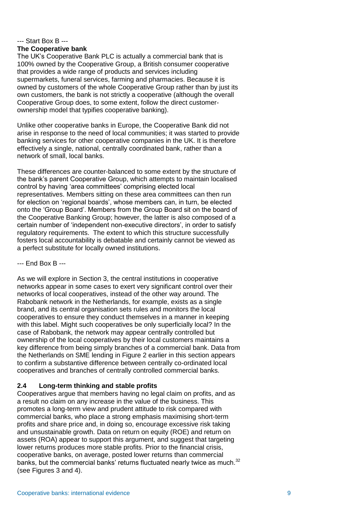### --- Start Box B --- **The Cooperative bank**

The UK's Cooperative Bank PLC is actually a commercial bank that is 100% owned by the Cooperative Group, a British consumer cooperative that provides a wide range of products and services including supermarkets, funeral services, farming and pharmacies. Because it is owned by customers of the whole Cooperative Group rather than by just its own customers, the bank is not strictly a cooperative (although the overall Cooperative Group does, to some extent, follow the direct customerownership model that typifies cooperative banking).

Unlike other cooperative banks in Europe, the Cooperative Bank did not arise in response to the need of local communities; it was started to provide banking services for other cooperative companies in the UK. It is therefore effectively a single, national, centrally coordinated bank, rather than a network of small, local banks.

These differences are counter-balanced to some extent by the structure of the bank's parent Cooperative Group, which attempts to maintain localised control by having 'area committees' comprising elected local representatives. Members sitting on these area committees can then run for election on 'regional boards', whose members can, in turn, be elected onto the 'Group Board'. Members from the Group Board sit on the board of the Cooperative Banking Group; however, the latter is also composed of a certain number of 'independent non-executive directors', in order to satisfy regulatory requirements. The extent to which this structure successfully fosters local accountability is debatable and certainly cannot be viewed as a perfect substitute for locally owned institutions.

--- End Box B ---

As we will explore in Section 3, the central institutions in cooperative networks appear in some cases to exert very significant control over their networks of local cooperatives, instead of the other way around. The Rabobank network in the Netherlands, for example, exists as a single brand, and its central organisation sets rules and monitors the local cooperatives to ensure they conduct themselves in a manner in keeping with this label. Might such cooperatives be only superficially local? In the case of Rabobank, the network may appear centrally controlled but ownership of the local cooperatives by their local customers maintains a key difference from being simply branches of a commercial bank. Data from the Netherlands on SME lending in Figure 2 earlier in this section appears to confirm a substantive difference between centrally co-ordinated local cooperatives and branches of centrally controlled commercial banks.

## **2.4 Long-term thinking and stable profits**

Cooperatives argue that members having no legal claim on profits, and as a result no claim on any increase in the value of the business. This promotes a long-term view and prudent attitude to risk compared with commercial banks, who place a strong emphasis maximising short-term profits and share price and, in doing so, encourage excessive risk taking and unsustainable growth. Data on return on equity (ROE) and return on assets (ROA) appear to support this argument, and suggest that targeting lower returns produces more stable profits. Prior to the financial crisis, cooperative banks, on average, posted lower returns than commercial banks, but the commercial banks' returns fluctuated nearly twice as much. $32$ (see Figures 3 and 4).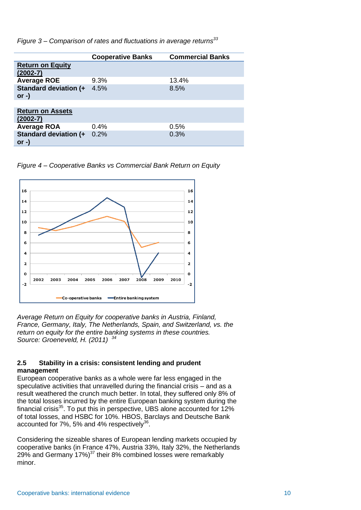*Figure 3 – Comparison of rates and fluctuations in average returns<sup>33</sup>*

|                                          | <b>Cooperative Banks</b> | <b>Commercial Banks</b> |
|------------------------------------------|--------------------------|-------------------------|
| <b>Return on Equity</b><br>$(2002 - 7)$  |                          |                         |
| <b>Average ROE</b>                       | 9.3%                     | 13.4%                   |
| <b>Standard deviation (+</b><br>or $-$ ) | 4.5%                     | 8.5%                    |
|                                          |                          |                         |
| <b>Return on Assets</b><br>$(2002 - 7)$  |                          |                         |
| <b>Average ROA</b>                       | 0.4%                     | 0.5%                    |
| <b>Standard deviation (+</b><br>$or -$   | 0.2%                     | 0.3%                    |

*Figure 4 – Cooperative Banks vs Commercial Bank Return on Equity*



*Average Return on Equity for cooperative banks in Austria, Finland, France, Germany, Italy, The Netherlands, Spain, and Switzerland, vs. the return on equity for the entire banking systems in these countries. Source: Groeneveld, H. (2011) <sup>34</sup>*

### **2.5 Stability in a crisis: consistent lending and prudent management**

European cooperative banks as a whole were far less engaged in the speculative activities that unravelled during the financial crisis – and as a result weathered the crunch much better. In total, they suffered only 8% of the total losses incurred by the entire European banking system during the financial crisis $35$ . To put this in perspective, UBS alone accounted for  $12\%$ of total losses, and HSBC for 10%. HBOS, Barclays and Deutsche Bank accounted for 7%, 5% and 4% respectively<sup>36</sup>.

Considering the sizeable shares of European lending markets occupied by cooperative banks (in France 47%, Austria 33%, Italy 32%, the Netherlands 29% and Germany  $17\%$ <sup>37</sup> their 8% combined losses were remarkably minor.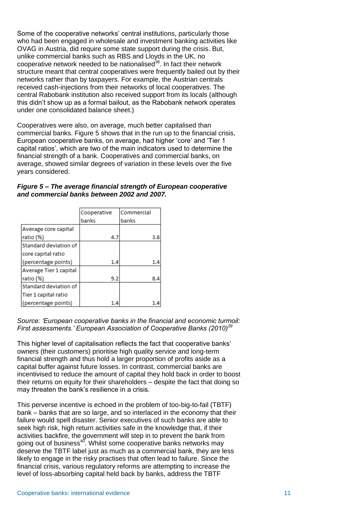Some of the cooperative networks' central institutions, particularly those who had been engaged in wholesale and investment banking activities like OVAG in Austria, did require some state support during the crisis. But, unlike commercial banks such as RBS and Lloyds in the UK, no cooperative network needed to be nationalised<sup>38</sup>. In fact their network structure meant that central cooperatives were frequently bailed out by their networks rather than by taxpayers. For example, the Austrian centrals received cash-injections from their networks of local cooperatives. The central Rabobank institution also received support from its locals (although this didn't show up as a formal bailout, as the Rabobank network operates under one consolidated balance sheet.)

Cooperatives were also, on average, much better capitalised than commercial banks. Figure 5 shows that in the run up to the financial crisis, European cooperative banks, on average, had higher 'core' and 'Tier 1 capital ratios', which are two of the main indicators used to determine the financial strength of a bank. Cooperatives and commercial banks, on average, showed similar degrees of variation in these levels over the five years considered.

| Figure 5 – The average financial strength of European cooperative |  |
|-------------------------------------------------------------------|--|
| and commercial banks between 2002 and 2007.                       |  |

|                        | Cooperative | l Commercial |
|------------------------|-------------|--------------|
|                        | banks       | banks        |
| Average core capital   |             |              |
| ratio (%)              | 4.7         | 3.6          |
| Standard deviation of  |             |              |
| core capital ratio     |             |              |
| (percentage points)    | 1.4         | 1.4          |
| Average Tier 1 capital |             |              |
| ratio (%)              | 9.2         | 8.4          |
| Standard deviation of  |             |              |
| Tier 1 capital ratio   |             |              |
| (percentage points)    | 1.4         |              |

*Source: 'European cooperative banks in the financial and economic turmoil: First assessments.' European Association of Cooperative Banks (2010)<sup>39</sup>*

This higher level of capitalisation reflects the fact that cooperative banks' owners (their customers) prioritise high quality service and long-term financial strength and thus hold a larger proportion of profits aside as a capital buffer against future losses. In contrast, commercial banks are incentivised to reduce the amount of capital they hold back in order to boost their returns on equity for their shareholders – despite the fact that doing so may threaten the bank's resilience in a crisis.

This perverse incentive is echoed in the problem of too-big-to-fail (TBTF) bank – banks that are so large, and so interlaced in the economy that their failure would spell disaster. Senior executives of such banks are able to seek high risk, high return activities safe in the knowledge that, if their activities backfire, the government will step in to prevent the bank from going out of business<sup>40</sup>. Whilst some cooperative banks networks may deserve the TBTF label just as much as a commercial bank, they are less likely to engage in the risky practises that often lead to failure. Since the financial crisis, various regulatory reforms are attempting to increase the level of loss-absorbing capital held back by banks, address the TBTF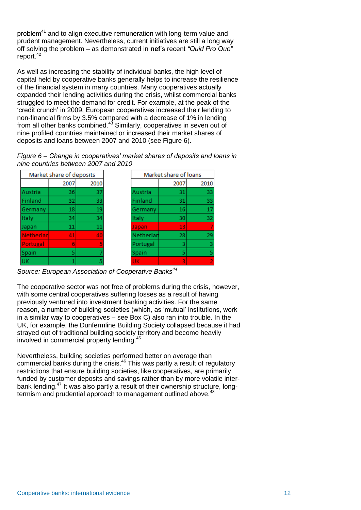problem<sup>41</sup> and to align executive remuneration with long-term value and prudent management. Nevertheless, current initiatives are still a long way off solving the problem – as demonstrated in **nef**'s recent *"Quid Pro Quo"* report.<sup>42</sup>

As well as increasing the stability of individual banks, the high level of capital held by cooperative banks generally helps to increase the resilience of the financial system in many countries. Many cooperatives actually expanded their lending activities during the crisis, whilst commercial banks struggled to meet the demand for credit. For example, at the peak of the 'credit crunch' in 2009, European cooperatives increased their lending to non-financial firms by 3.5% compared with a decrease of 1% in lending from all other banks combined.<sup>43</sup> Similarly, cooperatives in seven out of nine profiled countries maintained or increased their market shares of deposits and loans between 2007 and 2010 (see Figure 6).

*Figure 6 – Change in cooperatives' market shares of deposits and loans in nine countries between 2007 and 2010*

| Market share of deposits |      |      |
|--------------------------|------|------|
|                          | 2007 | 2010 |
| Austria                  | 36   | 37   |
| Finland                  | 32   | 33   |
| Germany                  | 18   | 19   |
| <b>Italy</b>             | 34   | 34   |
| Japan                    | 11   | 11   |
| Netherlar                | 41   | 40   |
| Portugal                 | 6    | 5    |
| Spain                    | 5    |      |
| UK                       |      |      |

*Source: European Association of Cooperative Banks<sup>44</sup>*

The cooperative sector was not free of problems during the crisis, however, with some central cooperatives suffering losses as a result of having previously ventured into investment banking activities. For the same reason, a number of building societies (which, as 'mutual' institutions, work in a similar way to cooperatives – see Box C) also ran into trouble. In the UK, for example, the Dunfermline Building Society collapsed because it had strayed out of traditional building society territory and become heavily involved in commercial property lending.<sup>45</sup>

Nevertheless, building societies performed better on average than commercial banks during the crisis.<sup>46</sup> This was partly a result of regulatory restrictions that ensure building societies, like cooperatives, are primarily funded by customer deposits and savings rather than by more volatile interbank lending.<sup>47</sup> It was also partly a result of their ownership structure, longtermism and prudential approach to management outlined above.<sup>48</sup>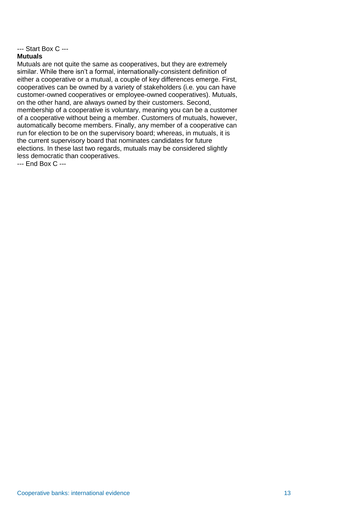### --- Start Box C ---

### **Mutuals**

Mutuals are not quite the same as cooperatives, but they are extremely similar. While there isn't a formal, internationally-consistent definition of either a cooperative or a mutual, a couple of key differences emerge. First, cooperatives can be owned by a variety of stakeholders (i.e. you can have customer-owned cooperatives or employee-owned cooperatives). Mutuals, on the other hand, are always owned by their customers. Second, membership of a cooperative is voluntary, meaning you can be a customer of a cooperative without being a member. Customers of mutuals, however, automatically become members. Finally, any member of a cooperative can run for election to be on the supervisory board; whereas, in mutuals, it is the current supervisory board that nominates candidates for future elections. In these last two regards, mutuals may be considered slightly less democratic than cooperatives.

<span id="page-16-0"></span>--- End Box C ---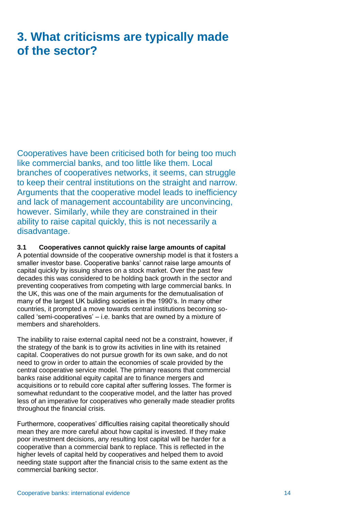# **3. What criticisms are typically made of the sector?**

Cooperatives have been criticised both for being too much like commercial banks, and too little like them. Local branches of cooperatives networks, it seems, can struggle to keep their central institutions on the straight and narrow. Arguments that the cooperative model leads to inefficiency and lack of management accountability are unconvincing, however. Similarly, while they are constrained in their ability to raise capital quickly, this is not necessarily a disadvantage.

### **3.1 Cooperatives cannot quickly raise large amounts of capital**

A potential downside of the cooperative ownership model is that it fosters a smaller investor base. Cooperative banks' cannot raise large amounts of capital quickly by issuing shares on a stock market. Over the past few decades this was considered to be holding back growth in the sector and preventing cooperatives from competing with large commercial banks. In the UK, this was one of the main arguments for the demutualisation of many of the largest UK building societies in the 1990's. In many other countries, it prompted a move towards central institutions becoming socalled 'semi-cooperatives' – i.e. banks that are owned by a mixture of members and shareholders.

The inability to raise external capital need not be a constraint, however, if the strategy of the bank is to grow its activities in line with its retained capital. Cooperatives do not pursue growth for its own sake, and do not need to grow in order to attain the economies of scale provided by the central cooperative service model. The primary reasons that commercial banks raise additional equity capital are to finance mergers and acquisitions or to rebuild core capital after suffering losses. The former is somewhat redundant to the cooperative model, and the latter has proved less of an imperative for cooperatives who generally made steadier profits throughout the financial crisis.

Furthermore, cooperatives' difficulties raising capital theoretically should mean they are more careful about how capital is invested. If they make poor investment decisions, any resulting lost capital will be harder for a cooperative than a commercial bank to replace. This is reflected in the higher levels of capital held by cooperatives and helped them to avoid needing state support after the financial crisis to the same extent as the commercial banking sector.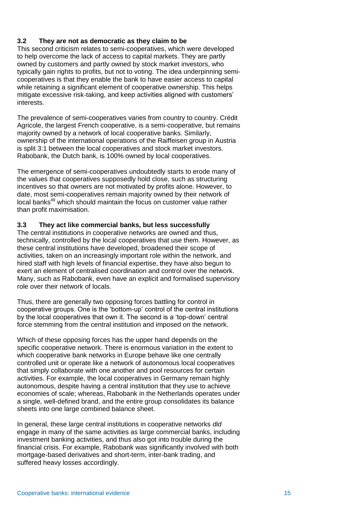### **3.2 They are not as democratic as they claim to be**

This second criticism relates to semi-cooperatives, which were developed to help overcome the lack of access to capital markets. They are partly owned by customers and partly owned by stock market investors, who typically gain rights to profits, but not to voting. The idea underpinning semicooperatives is that they enable the bank to have easier access to capital while retaining a significant element of cooperative ownership. This helps mitigate excessive risk-taking, and keep activities aligned with customers' interests.

The prevalence of semi-cooperatives varies from country to country. Crédit Agricole, the largest French cooperative, is a semi-cooperative, but remains majority owned by a network of local cooperative banks. Similarly, ownership of the international operations of the Raiffeisen group in Austria is split 3:1 between the local cooperatives and stock market investors. Rabobank, the Dutch bank, is 100% owned by local cooperatives.

The emergence of semi-cooperatives undoubtedly starts to erode many of the values that cooperatives supposedly hold close, such as structuring incentives so that owners are not motivated by profits alone. However, to date, most semi-cooperatives remain majority owned by their network of local banks<sup>49</sup> which should maintain the focus on customer value rather than profit maximisation.

### **3.3 They act like commercial banks, but less successfully**

The central institutions in cooperative networks are owned and thus, technically, controlled by the local cooperatives that use them. However, as these central institutions have developed, broadened their scope of activities, taken on an increasingly important role within the network, and hired staff with high levels of financial expertise, they have also begun to exert an element of centralised coordination and control over the network. Many, such as Rabobank, even have an explicit and formalised supervisory role over their network of locals.

Thus, there are generally two opposing forces battling for control in cooperative groups. One is the 'bottom-up' control of the central institutions by the local cooperatives that own it. The second is a 'top-down' central force stemming from the central institution and imposed on the network.

Which of these opposing forces has the upper hand depends on the specific cooperative network. There is enormous variation in the extent to which cooperative bank networks in Europe behave like one centrally controlled unit or operate like a network of autonomous local cooperatives that simply collaborate with one another and pool resources for certain activities. For example, the local cooperatives in Germany remain highly autonomous, despite having a central institution that they use to achieve economies of scale; whereas, Rabobank in the Netherlands operates under a single, well-defined brand, and the entire group consolidates its balance sheets into one large combined balance sheet.

In general, these large central institutions in cooperative networks *did* engage in many of the same activities as large commercial banks, including investment banking activities, and thus also got into trouble during the financial crisis. For example, Rabobank was significantly involved with both mortgage-based derivatives and short-term, inter-bank trading, and suffered heavy losses accordingly.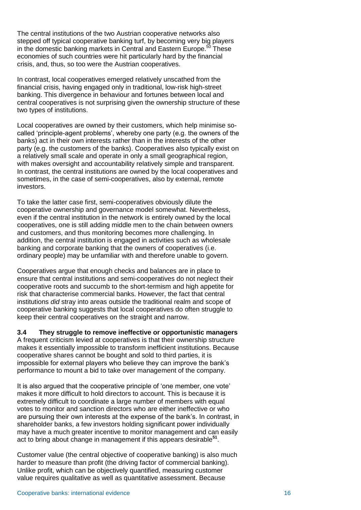The central institutions of the two Austrian cooperative networks also stepped off typical cooperative banking turf, by becoming very big players in the domestic banking markets in Central and Eastern Europe.<sup>50</sup> These economies of such countries were hit particularly hard by the financial crisis, and, thus, so too were the Austrian cooperatives.

In contrast, local cooperatives emerged relatively unscathed from the financial crisis, having engaged only in traditional, low-risk high-street banking. This divergence in behaviour and fortunes between local and central cooperatives is not surprising given the ownership structure of these two types of institutions.

Local cooperatives are owned by their customers, which help minimise socalled 'principle-agent problems', whereby one party (e.g. the owners of the banks) act in their own interests rather than in the interests of the other party (e.g. the customers of the banks). Cooperatives also typically exist on a relatively small scale and operate in only a small geographical region, with makes oversight and accountability relatively simple and transparent. In contrast, the central institutions are owned by the local cooperatives and sometimes, in the case of semi-cooperatives, also by external, remote investors.

To take the latter case first, semi-cooperatives obviously dilute the cooperative ownership and governance model somewhat. Nevertheless, even if the central institution in the network is entirely owned by the local cooperatives, one is still adding middle men to the chain between owners and customers, and thus monitoring becomes more challenging. In addition, the central institution is engaged in activities such as wholesale banking and corporate banking that the owners of cooperatives (i.e. ordinary people) may be unfamiliar with and therefore unable to govern.

Cooperatives argue that enough checks and balances are in place to ensure that central institutions and semi-cooperatives do not neglect their cooperative roots and succumb to the short-termism and high appetite for risk that characterise commercial banks. However, the fact that central institutions *did* stray into areas outside the traditional realm and scope of cooperative banking suggests that local cooperatives do often struggle to keep their central cooperatives on the straight and narrow.

**3.4 They struggle to remove ineffective or opportunistic managers** A frequent criticism levied at cooperatives is that their ownership structure makes it essentially impossible to transform inefficient institutions. Because cooperative shares cannot be bought and sold to third parties, it is impossible for external players who believe they can improve the bank's performance to mount a bid to take over management of the company.

It is also argued that the cooperative principle of 'one member, one vote' makes it more difficult to hold directors to account. This is because it is extremely difficult to coordinate a large number of members with equal votes to monitor and sanction directors who are either ineffective or who are pursuing their own interests at the expense of the bank's. In contrast, in shareholder banks, a few investors holding significant power individually may have a much greater incentive to monitor management and can easily act to bring about change in management if this appears desirable**<sup>51</sup>** .

Customer value (the central objective of cooperative banking) is also much harder to measure than profit (the driving factor of commercial banking). Unlike profit, which can be objectively quantified, measuring customer value requires qualitative as well as quantitative assessment. Because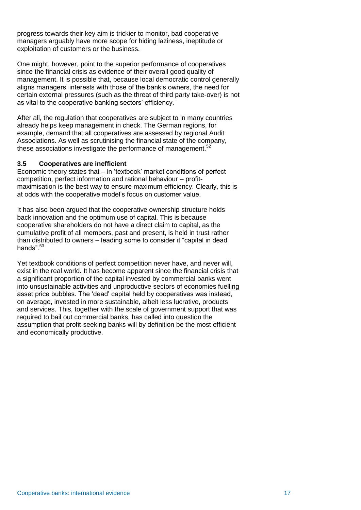progress towards their key aim is trickier to monitor, bad cooperative managers arguably have more scope for hiding laziness, ineptitude or exploitation of customers or the business.

One might, however, point to the superior performance of cooperatives since the financial crisis as evidence of their overall good quality of management. It is possible that, because local democratic control generally aligns managers' interests with those of the bank's owners, the need for certain external pressures (such as the threat of third party take-over) is not as vital to the cooperative banking sectors' efficiency.

After all, the regulation that cooperatives are subject to in many countries already helps keep management in check. The German regions, for example, demand that all cooperatives are assessed by regional Audit Associations. As well as scrutinising the financial state of the company, these associations investigate the performance of management. $52$ 

### **3.5 Cooperatives are inefficient**

Economic theory states that – in 'textbook' market conditions of perfect competition, perfect information and rational behaviour – profitmaximisation is the best way to ensure maximum efficiency. Clearly, this is at odds with the cooperative model's focus on customer value.

It has also been argued that the cooperative ownership structure holds back innovation and the optimum use of capital. This is because cooperative shareholders do not have a direct claim to capital, as the cumulative profit of all members, past and present, is held in trust rather than distributed to owners – leading some to consider it "capital in dead hands". $53$ 

Yet textbook conditions of perfect competition never have, and never will, exist in the real world. It has become apparent since the financial crisis that a significant proportion of the capital invested by commercial banks went into unsustainable activities and unproductive sectors of economies fuelling asset price bubbles. The 'dead' capital held by cooperatives was instead, on average, invested in more sustainable, albeit less lucrative, products and services. This, together with the scale of government support that was required to bail out commercial banks, has called into question the assumption that profit-seeking banks will by definition be the most efficient and economically productive.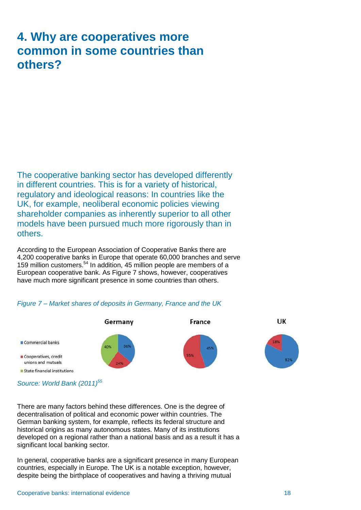# <span id="page-21-0"></span>**4. Why are cooperatives more common in some countries than others?**

The cooperative banking sector has developed differently in different countries. This is for a variety of historical, regulatory and ideological reasons: In countries like the UK, for example, neoliberal economic policies viewing shareholder companies as inherently superior to all other models have been pursued much more rigorously than in others.

According to the European Association of Cooperative Banks there are 4,200 cooperative banks in Europe that operate 60,000 branches and serve 159 million customers.<sup>54</sup> In addition, 45 million people are members of a European cooperative bank. As Figure 7 shows, however, cooperatives have much more significant presence in some countries than others.



### *Figure 7 – Market shares of deposits in Germany, France and the UK*

*Source: World Bank (2011)<sup>55</sup>*

There are many factors behind these differences. One is the degree of decentralisation of political and economic power within countries. The German banking system, for example, reflects its federal structure and historical origins as many autonomous states. Many of its institutions developed on a regional rather than a national basis and as a result it has a significant local banking sector.

In general, cooperative banks are a significant presence in many European countries, especially in Europe. The UK is a notable exception, however, despite being the birthplace of cooperatives and having a thriving mutual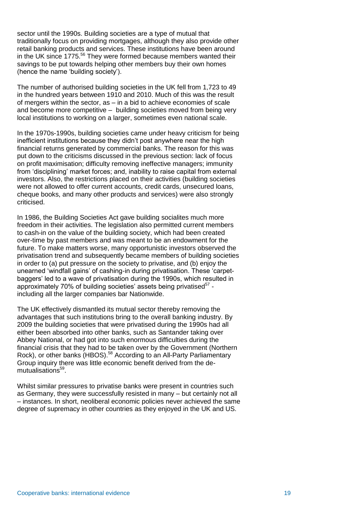sector until the 1990s. Building societies are a type of mutual that traditionally focus on providing mortgages, although they also provide other retail banking products and services. These institutions have been around in the UK since 1775.<sup>56</sup> They were formed because members wanted their savings to be put towards helping other members buy their own homes (hence the name 'building society').

The number of authorised building societies in the UK fell from 1,723 to 49 in the hundred years between 1910 and 2010. Much of this was the result of mergers within the sector, as – in a bid to achieve economies of scale and become more competitive – building societies moved from being very local institutions to working on a larger, sometimes even national scale.

In the 1970s-1990s, building societies came under heavy criticism for being inefficient institutions because they didn't post anywhere near the high financial returns generated by commercial banks. The reason for this was put down to the criticisms discussed in the previous section: lack of focus on profit maximisation; difficulty removing ineffective managers; immunity from 'disciplining' market forces; and, inability to raise capital from external investors. Also, the restrictions placed on their activities (building societies were not allowed to offer current accounts, credit cards, unsecured loans, cheque books, and many other products and services) were also strongly criticised.

In 1986, the Building Societies Act gave building socialites much more freedom in their activities. The legislation also permitted current members to cash-in on the value of the building society, which had been created over-time by past members and was meant to be an endowment for the future. To make matters worse, many opportunistic investors observed the privatisation trend and subsequently became members of building societies in order to (a) put pressure on the society to privatise, and (b) enjoy the unearned 'windfall gains' of cashing-in during privatisation. These 'carpetbaggers' led to a wave of privatisation during the 1990s, which resulted in approximately 70% of building societies' assets being privatised<sup>57</sup> including all the larger companies bar Nationwide.

The UK effectively dismantled its mutual sector thereby removing the advantages that such institutions bring to the overall banking industry. By 2009 the building societies that were privatised during the 1990s had all either been absorbed into other banks, such as Santander taking over Abbey National, or had got into such enormous difficulties during the financial crisis that they had to be taken over by the Government (Northern Rock), or other banks (HBOS).<sup>58</sup> According to an All-Party Parliamentary Group inquiry there was little economic benefit derived from the demutualisations<sup>59</sup>.

Whilst similar pressures to privatise banks were present in countries such as Germany, they were successfully resisted in many – but certainly not all – instances. In short, neoliberal economic policies never achieved the same degree of supremacy in other countries as they enjoyed in the UK and US.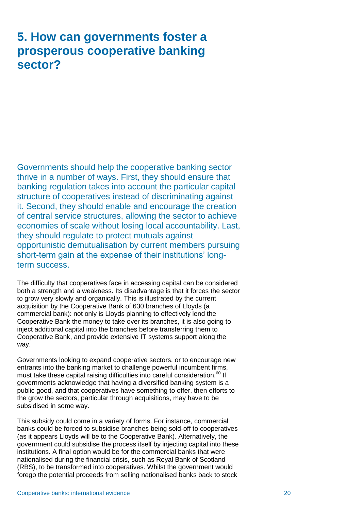# <span id="page-23-0"></span>**5. How can governments foster a prosperous cooperative banking sector?**

Governments should help the cooperative banking sector thrive in a number of ways. First, they should ensure that banking regulation takes into account the particular capital structure of cooperatives instead of discriminating against it. Second, they should enable and encourage the creation of central service structures, allowing the sector to achieve economies of scale without losing local accountability. Last, they should regulate to protect mutuals against opportunistic demutualisation by current members pursuing short-term gain at the expense of their institutions' longterm success.

The difficulty that cooperatives face in accessing capital can be considered both a strength and a weakness. Its disadvantage is that it forces the sector to grow very slowly and organically. This is illustrated by the current acquisition by the Cooperative Bank of 630 branches of Lloyds (a commercial bank): not only is Lloyds planning to effectively lend the Cooperative Bank the money to take over its branches, it is also going to inject additional capital into the branches before transferring them to Cooperative Bank, and provide extensive IT systems support along the way.

Governments looking to expand cooperative sectors, or to encourage new entrants into the banking market to challenge powerful incumbent firms, must take these capital raising difficulties into careful consideration.<sup>60</sup> If governments acknowledge that having a diversified banking system is a public good, and that cooperatives have something to offer, then efforts to the grow the sectors, particular through acquisitions, may have to be subsidised in some way.

This subsidy could come in a variety of forms. For instance, commercial banks could be forced to subsidise branches being sold-off to cooperatives (as it appears Lloyds will be to the Cooperative Bank). Alternatively, the government could subsidise the process itself by injecting capital into these institutions. A final option would be for the commercial banks that were nationalised during the financial crisis, such as Royal Bank of Scotland (RBS), to be transformed into cooperatives. Whilst the government would forego the potential proceeds from selling nationalised banks back to stock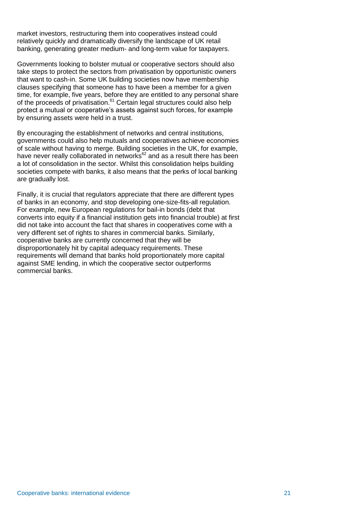market investors, restructuring them into cooperatives instead could relatively quickly and dramatically diversify the landscape of UK retail banking, generating greater medium- and long-term value for taxpayers.

Governments looking to bolster mutual or cooperative sectors should also take steps to protect the sectors from privatisation by opportunistic owners that want to cash-in. Some UK building societies now have membership clauses specifying that someone has to have been a member for a given time, for example, five years, before they are entitled to any personal share of the proceeds of privatisation.<sup>61</sup> Certain legal structures could also help protect a mutual or cooperative's assets against such forces, for example by ensuring assets were held in a trust.

By encouraging the establishment of networks and central institutions, governments could also help mutuals and cooperatives achieve economies of scale without having to merge. Building societies in the UK, for example, have never really collaborated in networks<sup>62</sup> and as a result there has been a lot of consolidation in the sector. Whilst this consolidation helps building societies compete with banks, it also means that the perks of local banking are gradually lost.

Finally, it is crucial that regulators appreciate that there are different types of banks in an economy, and stop developing one-size-fits-all regulation. For example, new European regulations for bail-in bonds (debt that converts into equity if a financial institution gets into financial trouble) at first did not take into account the fact that shares in cooperatives come with a very different set of rights to shares in commercial banks. Similarly, cooperative banks are currently concerned that they will be disproportionately hit by capital adequacy requirements. These requirements will demand that banks hold proportionately more capital against SME lending, in which the cooperative sector outperforms commercial banks.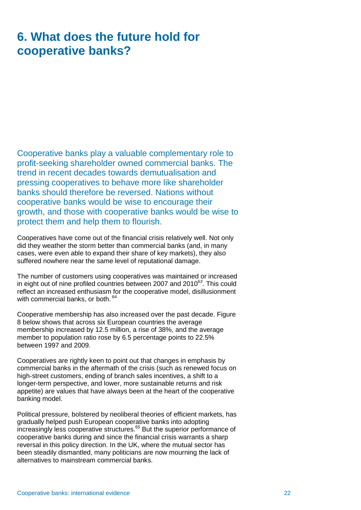# <span id="page-25-0"></span>**6. What does the future hold for cooperative banks?**

Cooperative banks play a valuable complementary role to profit-seeking shareholder owned commercial banks. The trend in recent decades towards demutualisation and pressing cooperatives to behave more like shareholder banks should therefore be reversed. Nations without cooperative banks would be wise to encourage their growth, and those with cooperative banks would be wise to protect them and help them to flourish.

Cooperatives have come out of the financial crisis relatively well. Not only did they weather the storm better than commercial banks (and, in many cases, were even able to expand their share of key markets), they also suffered nowhere near the same level of reputational damage.

The number of customers using cooperatives was maintained or increased in eight out of nine profiled countries between 2007 and 2010*<sup>63</sup>*. This could reflect an increased enthusiasm for the cooperative model, disillusionment with commercial banks, or both.  $64$ 

Cooperative membership has also increased over the past decade. Figure 8 below shows that across six European countries the average membership increased by 12.5 million, a rise of 38%, and the average member to population ratio rose by 6.5 percentage points to 22.5% between 1997 and 2009.

Cooperatives are rightly keen to point out that changes in emphasis by commercial banks in the aftermath of the crisis (such as renewed focus on high-street customers, ending of branch sales incentives, a shift to a longer-term perspective, and lower, more sustainable returns and risk appetite) are values that have always been at the heart of the cooperative banking model.

Political pressure, bolstered by neoliberal theories of efficient markets, has gradually helped push European cooperative banks into adopting increasingly less cooperative structures.<sup>65</sup> But the superior performance of cooperative banks during and since the financial crisis warrants a sharp reversal in this policy direction. In the UK, where the mutual sector has been steadily dismantled, many politicians are now mourning the lack of alternatives to mainstream commercial banks.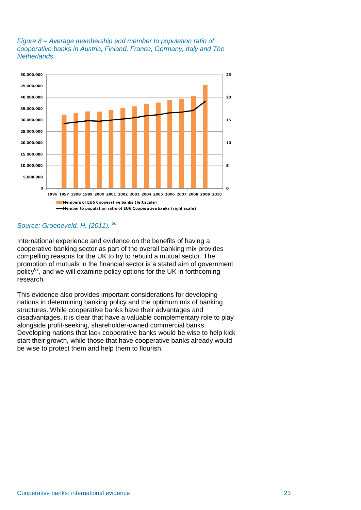### *Figure 8 – Average membership and member to population ratio of cooperative banks in Austria, Finland, France, Germany, Italy and The Netherlands.*



## *Source: Groeneveld, H. (2011). <sup>66</sup>*

International experience and evidence on the benefits of having a cooperative banking sector as part of the overall banking mix provides compelling reasons for the UK to try to rebuild a mutual sector. The promotion of mutuals in the financial sector is a stated aim of government policy<sup>67</sup>, and we will examine policy options for the UK in forthcoming research.

This evidence also provides important considerations for developing nations in determining banking policy and the optimum mix of banking structures. While cooperative banks have their advantages and disadvantages, it is clear that have a valuable complementary role to play alongside profit-seeking, shareholder-owned commercial banks. Developing nations that lack cooperative banks would be wise to help kick start their growth, while those that have cooperative banks already would be wise to protect them and help them to flourish.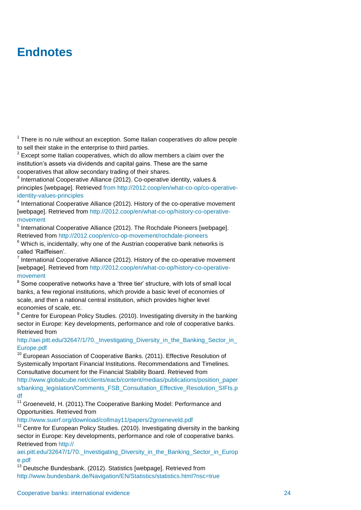# <span id="page-27-0"></span>**Endnotes**

1 There is no rule without an exception. Some Italian cooperatives *do* allow people to sell their stake in the enterprise to third parties.

 $2$  Except some Italian cooperatives, which do allow members a claim over the institution's assets via dividends and capital gains. These are the same cooperatives that allow secondary trading of their shares.

<sup>3</sup> International Cooperative Alliance (2012). Co-operative identity, values & principles [webpage]. Retrieved from http://2012.coop/en/what-co-op/co-operativeidentity-values-principles

<sup>4</sup> International Cooperative Alliance (2012). History of the co-operative movement [webpage]. Retrieved from http://2012.coop/en/what-co-op/history-co-operativemovement

<sup>5</sup> International Cooperative Alliance (2012). The Rochdale Pioneers [webpage]. Retrieved from http://2012.coop/en/co-op-movement/rochdale-pioneers

 $6$  Which is, incidentally, why one of the Austrian cooperative bank networks is called 'Raiffeisen'.

 $<sup>7</sup>$  International Cooperative Alliance (2012). History of the co-operative movement</sup> [webpage]. Retrieved from http://2012.coop/en/what-co-op/history-co-operativemovement

 $8$  Some cooperative networks have a 'three tier' structure, with lots of small local banks, a few regional institutions, which provide a basic level of economies of scale, and then a national central institution, which provides higher level economies of scale, etc.

<sup>9</sup> Centre for European Policy Studies. (2010). Investigating diversity in the banking sector in Europe: Key developments, performance and role of cooperative banks. Retrieved from

#### http://aei.pitt.edu/32647/1/70. Investigating\_Diversity\_in\_the\_Banking\_Sector\_in\_ Europe.pdf

<sup>10</sup> European Association of Cooperative Banks. (2011). Effective Resolution of Systemically Important Financial Institutions. Recommendations and Timelines. Consultative document for the Financial Stability Board. Retrieved from http://www.globalcube.net/clients/eacb/content/medias/publications/position\_paper s/banking\_legislation/Comments\_FSB\_Consultation\_Effective\_Resolution\_SIFIs.p df

<sup>11</sup> Groeneveld, H. (2011). The Cooperative Banking Model: Performance and Opportunities. Retrieved from

http://www.suerf.org/download/collmay11/papers/2groeneveld.pdf

 $12$  Centre for European Policy Studies. (2010). Investigating diversity in the banking sector in Europe: Key developments, performance and role of cooperative banks. Retrieved from http://

aei.pitt.edu/32647/1/70. Investigating Diversity in the Banking Sector in Europ e.pdf

 $13$  Deutsche Bundesbank. (2012). Statistics [webpage]. Retrieved from http://www.bundesbank.de/Navigation/EN/Statistics/statistics.html?nsc=true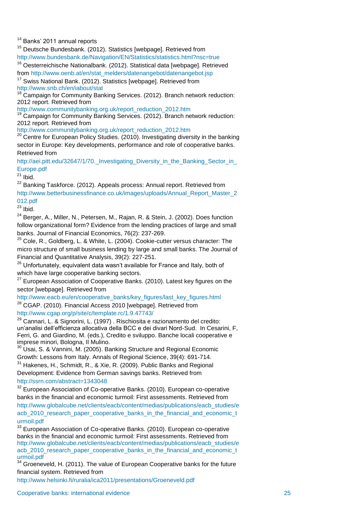<sup>14</sup> Banks' 2011 annual reports

<sup>15</sup> Deutsche Bundesbank. (2012). Statistics [webpage]. Retrieved from http://www.bundesbank.de/Navigation/EN/Statistics/statistics.html?nsc=true

<sup>16</sup> Oesterreichische Nationalbank. (2012). Statistical data [webpage]. Retrieved from http://www.oenb.at/en/stat\_melders/datenangebot/datenangebot.jsp

<sup>17</sup> Swiss National Bank. (2012). Statistics [webpage]. Retrieved from http://www.snb.ch/en/iabout/stat

18 Campaign for Community Banking Services. (2012). Branch network reduction: 2012 report. Retrieved from

http://www.communitybanking.org.uk/report\_reduction\_2012.htm

<sup>19</sup> Campaign for Community Banking Services. (2012). Branch network reduction: 2012 report. Retrieved from

http://www.communitybanking.org.uk/report\_reduction\_2012.htm

 $20$  Centre for European Policy Studies. (2010). Investigating diversity in the banking sector in Europe: Key developments, performance and role of cooperative banks. Retrieved from

http://aei.pitt.edu/32647/1/70. Investigating Diversity in the Banking Sector in Europe.pdf

 $21$  Ibid.

 $22$  Banking Taskforce. (2012). Appeals process: Annual report. Retrieved from http://www.betterbusinessfinance.co.uk/images/uploads/Annual\_Report\_Master\_2 012.pdf

 $23$  Ibid.

<sup>24</sup> Berger, A., Miller, N., Petersen, M., Rajan, R. & Stein, J. (2002). Does function follow organizational form? Evidence from the lending practices of large and small banks. Journal of Financial Economics, 76(2): 237-269.

 $25$  Cole, R., Goldberg, L. & White, L. (2004). Cookie-cutter versus character: The micro structure of small business lending by large and small banks. The Journal of Financial and Quantitative Analysis, 39(2): 227-251.

 $26$  Unfortunately, equivalent data wasn't available for France and Italy, both of which have large cooperative banking sectors.

 $27$  European Association of Cooperative Banks. (2010). Latest key figures on the sector [webpage]. Retrieved from

http://www.eacb.eu/en/cooperative\_banks/key\_figures/last\_key\_figures.html <sup>28</sup> CGAP. (2010). Financial Access 2010 [webpage]. Retrieved from http://www.cgap.org/p/site/c/template.rc/1.9.47743/

 $29$  Cannari, L. & Signorini, L. (1997). Rischiosita e razionamento del credito: un'analisi dell'efficienza allocativa della BCC e dei divari Nord-Sud. In Cesarini, F, Ferri, G. and Giardino, M. (eds.), Credito e sviluppo. Banche locali cooperative e imprese minori, Bologna, Il Mulino.

 $30$  Usai, S. & Vannini, M. (2005). Banking Structure and Regional Economic Growth: Lessons from Italy. Annals of Regional Science, 39(4): 691-714. <sup>31</sup> Hakenes, H., Schmidt, R., & Xie, R. (2009). Public Banks and Regional

Development: Evidence from German savings banks. Retrieved from http://ssrn.com/abstract=1343048

 $32$  European Association of Co-operative Banks. (2010). European co-operative banks in the financial and economic turmoil: First assessments. Retrieved from http://www.globalcube.net/clients/eacb/content/medias/publications/eacb\_studies/e acb 2010 research paper cooperative banks in the financial and economic t urmoil.pdf

<sup>33</sup> European Association of Co-operative Banks. (2010). European co-operative banks in the financial and economic turmoil: First assessments. Retrieved from http://www.globalcube.net/clients/eacb/content/medias/publications/eacb\_studies/e acb 2010 research paper cooperative banks in the financial and economic to urmoil.pdf

34 Groeneveld, H. (2011). The value of European Cooperative banks for the future financial system. Retrieved from

http://www.helsinki.fi/ruralia/ica2011/presentations/Groeneveld.pdf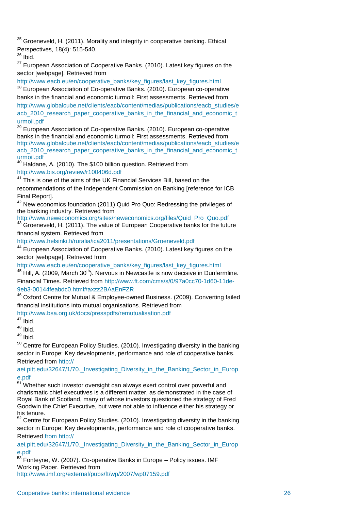<sup>35</sup> Groeneveld, H. (2011). Morality and integrity in cooperative banking. Ethical Perspectives, 18(4): 515-540.

 $36$  Ibid.

<sup>37</sup> European Association of Cooperative Banks. (2010). Latest key figures on the sector [webpage]. Retrieved from

http://www.eacb.eu/en/cooperative\_banks/key\_figures/last\_key\_figures.html

<sup>38</sup> European Association of Co-operative Banks. (2010). European co-operative banks in the financial and economic turmoil: First assessments. Retrieved from http://www.globalcube.net/clients/eacb/content/medias/publications/eacb\_studies/e acb 2010 research paper cooperative banks in the financial and economic to urmoil.pdf

 $39$  European Association of Co-operative Banks. (2010). European co-operative banks in the financial and economic turmoil: First assessments. Retrieved from http://www.globalcube.net/clients/eacb/content/medias/publications/eacb\_studies/e acb\_2010\_research\_paper\_cooperative\_banks\_in\_the\_financial\_and\_economic\_t urmoil.pdf

<sup>40</sup> Haldane, A. (2010). The \$100 billion question. Retrieved from

http://www.bis.org/review/r100406d.pdf

<sup>41</sup> This is one of the aims of the UK Financial Services Bill, based on the recommendations of the Independent Commission on Banking [reference for ICB Final Report].

 $42$  New economics foundation (2011) Quid Pro Quo: Redressing the privileges of the banking industry. Retrieved from

http://www.neweconomics.org/sites/neweconomics.org/files/Quid\_Pro\_Quo.pdf

 $43$  Groeneveld, H. (2011). The value of European Cooperative banks for the future financial system. Retrieved from

http://www.helsinki.fi/ruralia/ica2011/presentations/Groeneveld.pdf

<sup>44</sup> European Association of Cooperative Banks. (2010). Latest key figures on the sector [webpage]. Retrieved from

http://www.eacb.eu/en/cooperative\_banks/key\_figures/last\_key\_figures.html

 $45$  Hill, A. (2009, March 30<sup>th</sup>). Nervous in Newcastle is now decisive in Dunfermline. Financial Times. Retrieved from http://www.ft.com/cms/s/0/97a0cc70-1d60-11de-9eb3-00144feabdc0.html#axzz2BAaEnFZR

<sup>46</sup> Oxford Centre for Mutual & Employee-owned Business. (2009). Converting failed financial institutions into mutual organisations. Retrieved from

http://www.bsa.org.uk/docs/presspdfs/remutualisation.pdf

 $47$  Ibid.

 $48$  Ibid.

<sup>49</sup> Ibid.

<sup>50</sup> Centre for European Policy Studies. (2010). Investigating diversity in the banking sector in Europe: Key developments, performance and role of cooperative banks. Retrieved from http://

aei.pitt.edu/32647/1/70.\_Investigating\_Diversity\_in\_the\_Banking\_Sector\_in\_Europ e.pdf

 $51$  Whether such investor oversight can always exert control over powerful and charismatic chief executives is a different matter, as demonstrated in the case of Royal Bank of Scotland, many of whose investors questioned the strategy of Fred Goodwin the Chief Executive, but were not able to influence either his strategy or his tenure.

<sup>52</sup> Centre for European Policy Studies. (2010). Investigating diversity in the banking sector in Europe: Key developments, performance and role of cooperative banks. Retrieved from http://

aei.pitt.edu/32647/1/70. Investigating Diversity in the Banking Sector in Europ e.pdf

 $53$  Fontevne, W. (2007). Co-operative Banks in Europe – Policy issues. IMF Working Paper. Retrieved from http://www.imf.org/external/pubs/ft/wp/2007/wp07159.pdf